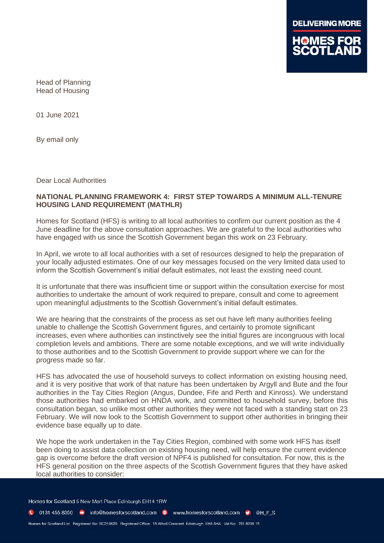

Head of Planning Head of Housing

01 June 2021

By email only

Dear Local Authorities

#### **NATIONAL PLANNING FRAMEWORK 4: FIRST STEP TOWARDS A MINIMUM ALL-TENURE HOUSING LAND REQUIREMENT (MATHLR)**

Homes for Scotland (HFS) is writing to all local authorities to confirm our current position as the 4 June deadline for the above consultation approaches. We are grateful to the local authorities who have engaged with us since the Scottish Government began this work on 23 February.

In April, we wrote to all local authorities with a set of resources designed to help the preparation of your locally adjusted estimates. One of our key messages focused on the very limited data used to inform the Scottish Government's initial default estimates, not least the existing need count.

It is unfortunate that there was insufficient time or support within the consultation exercise for most authorities to undertake the amount of work required to prepare, consult and come to agreement upon meaningful adjustments to the Scottish Government's initial default estimates.

We are hearing that the constraints of the process as set out have left many authorities feeling unable to challenge the Scottish Government figures, and certainly to promote significant increases, even where authorities can instinctively see the initial figures are incongruous with local completion levels and ambitions. There are some notable exceptions, and we will write individually to those authorities and to the Scottish Government to provide support where we can for the progress made so far.

HFS has advocated the use of household surveys to collect information on existing housing need, and it is very positive that work of that nature has been undertaken by Argyll and Bute and the four authorities in the Tay Cities Region (Angus, Dundee, Fife and Perth and Kinross). We understand those authorities had embarked on HNDA work, and committed to household survey, before this consultation began, so unlike most other authorities they were not faced with a standing start on 23 February. We will now look to the Scottish Government to support other authorities in bringing their evidence base equally up to date.

We hope the work undertaken in the Tay Cities Region, combined with some work HFS has itself been doing to assist data collection on existing housing need, will help ensure the current evidence gap is overcome before the draft version of NPF4 is published for consultation. For now, this is the HFS general position on the three aspects of the Scottish Government figures that they have asked local authorities to consider:

Homes for Scotland 5 New Mart Place Edinburgh EH14 1RW

C 0131 455 8350 ■ info@homesforscotland.com ● www.homesforscotland.com ● @H F S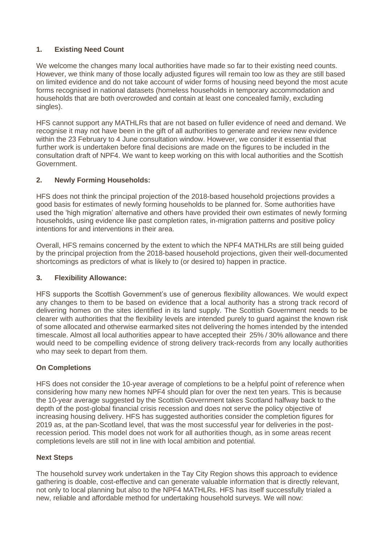# **1. Existing Need Count**

We welcome the changes many local authorities have made so far to their existing need counts. However, we think many of those locally adjusted figures will remain too low as they are still based on limited evidence and do not take account of wider forms of housing need beyond the most acute forms recognised in national datasets (homeless households in temporary accommodation and households that are both overcrowded and contain at least one concealed family, excluding singles).

HFS cannot support any MATHLRs that are not based on fuller evidence of need and demand. We recognise it may not have been in the gift of all authorities to generate and review new evidence within the 23 February to 4 June consultation window. However, we consider it essential that further work is undertaken before final decisions are made on the figures to be included in the consultation draft of NPF4. We want to keep working on this with local authorities and the Scottish Government.

## **2. Newly Forming Households:**

HFS does not think the principal projection of the 2018-based household projections provides a good basis for estimates of newly forming households to be planned for. Some authorities have used the 'high migration' alternative and others have provided their own estimates of newly forming households, using evidence like past completion rates, in-migration patterns and positive policy intentions for and interventions in their area.

Overall, HFS remains concerned by the extent to which the NPF4 MATHLRs are still being guided by the principal projection from the 2018-based household projections, given their well-documented shortcomings as predictors of what is likely to (or desired to) happen in practice.

### **3. Flexibility Allowance:**

HFS supports the Scottish Government's use of generous flexibility allowances. We would expect any changes to them to be based on evidence that a local authority has a strong track record of delivering homes on the sites identified in its land supply. The Scottish Government needs to be clearer with authorities that the flexibility levels are intended purely to guard against the known risk of some allocated and otherwise earmarked sites not delivering the homes intended by the intended timescale. Almost all local authorities appear to have accepted their 25% / 30% allowance and there would need to be compelling evidence of strong delivery track-records from any locally authorities who may seek to depart from them.

### **On Completions**

HFS does not consider the 10-year average of completions to be a helpful point of reference when considering how many new homes NPF4 should plan for over the next ten years. This is because the 10-year average suggested by the Scottish Government takes Scotland halfway back to the depth of the post-global financial crisis recession and does not serve the policy objective of increasing housing delivery. HFS has suggested authorities consider the completion figures for 2019 as, at the pan-Scotland level, that was the most successful year for deliveries in the postrecession period. This model does not work for all authorities though, as in some areas recent completions levels are still not in line with local ambition and potential.

### **Next Steps**

The household survey work undertaken in the Tay City Region shows this approach to evidence gathering is doable, cost-effective and can generate valuable information that is directly relevant, not only to local planning but also to the NPF4 MATHLRs. HFS has itself successfully trialed a new, reliable and affordable method for undertaking household surveys. We will now: